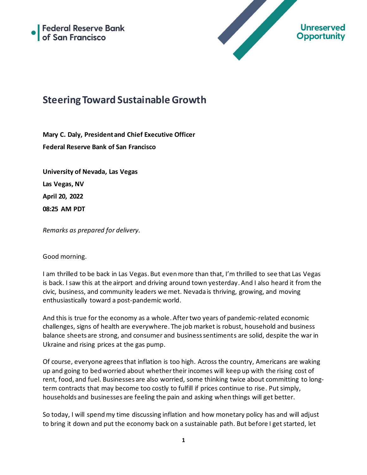



# **Steering Toward Sustainable Growth**

**Mary C. Daly, President and Chief Executive Officer Federal Reserve Bank of San Francisco**

**University of Nevada, Las Vegas Las Vegas, NV April 20, 2022 08:25 AM PDT**

*Remarks as prepared for delivery.*

#### Good morning.

I am thrilled to be back in Las Vegas. But even more than that, I'm thrilled to see that Las Vegas is back. I saw this at the airport and driving around town yesterday. And I also heard it from the civic, business, and community leaders we met. Nevada is thriving, growing, and moving enthusiastically toward a post-pandemic world.

And this is true for the economy as a whole. After two years of pandemic-related economic challenges, signs of health are everywhere. The job market is robust, household and business balance sheets are strong, and consumer and business sentiments are solid, despite the war in Ukraine and rising prices at the gas pump.

Of course, everyone agrees that inflation is too high. Across the country, Americans are waking up and going to bed worried about whether their incomes will keep up with the rising cost of rent, food, and fuel. Businesses are also worried, some thinking twice about committing to longterm contracts that may become too costly to fulfill if prices continue to rise. Put simply, households and businesses are feeling the pain and asking when things will get better.

So today, I will spend my time discussing inflation and how monetary policy has and will adjust to bring it down and put the economy back on a sustainable path. But before I get started, let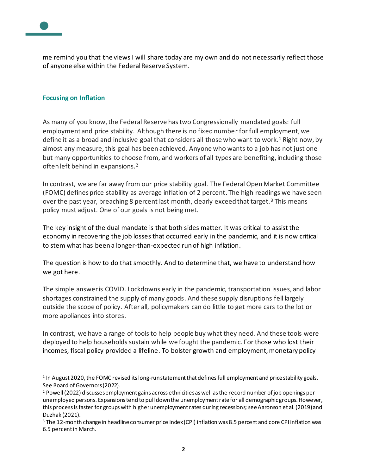

me remind you that the views I will share today are my own and do not necessarily reflect those of anyone else within the Federal Reserve System.

#### **Focusing on Inflation**

As many of you know, the Federal Reserve has two Congressionally mandated goals: full employment and price stability. Although there is no fixed number for full employment, we define it as a broad and inclusive goal that considers all those who want to work.<sup>1</sup> Right now, by almost any measure, this goal has been achieved. Anyone who wants to a job has not just one but many opportunities to choose from, and workers of all types are benefiting, including those often left behind in expansions.<sup>2</sup>

In contrast, we are far away from our price stability goal. The Federal Open Market Committee (FOMC) defines price stability as average inflation of 2 percent. The high readings we have seen over the past year, breaching 8 percent last month, clearly exceed that target.<sup>3</sup> This means policy must adjust. One of our goals is not being met.

The key insight of the dual mandate is that both sides matter. It was critical to assist the economy in recovering the job losses that occurred early in the pandemic, and it is now critical to stem what has been a longer-than-expected run of high inflation.

The question is how to do that smoothly. And to determine that, we have to understand how we got here.

The simple answer is COVID. Lockdowns early in the pandemic, transportation issues, and labor shortages constrained the supply of many goods. And these supply disruptions fell largely outside the scope of policy. After all, policymakers can do little to get more cars to the lot or more appliances into stores.

In contrast, we have a range of tools to help people buy what they need. And these tools were deployed to help households sustain while we fought the pandemic. For those who lost their incomes, fiscal policy provided a lifeline. To bolster growth and employment, monetary policy

 $^1$  In August 2020, the FOMC revised its long-run statement that defines full employment and price stability goals. See Board of Governors (2022).

<sup>&</sup>lt;sup>2</sup> Powell (2022) discusses employment gains across ethnicities as well as the record number of job openings per unemployed persons. Expansions tend to pull down the unemployment rate for all demographic groups. However, this process is faster for groups with higher unemployment rates during recessions; see Aaronson et al. (2019) and Duzhak (2021).

<sup>&</sup>lt;sup>3</sup> The 12-month change in headline consumer price index (CPI) inflation was 8.5 percent and core CPI inflation was 6.5 percent in March.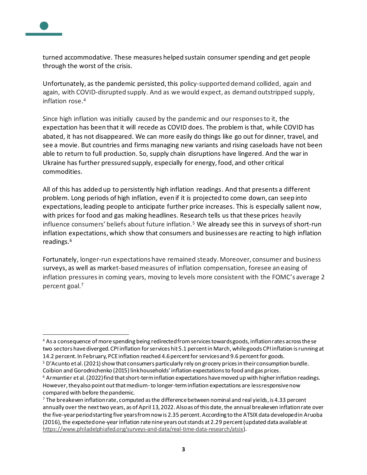

turned accommodative. These measures helped sustain consumer spending and get people through the worst of the crisis.

Unfortunately, as the pandemic persisted, this policy-supported demand collided, again and again, with COVID-disrupted supply. And as we would expect, as demand outstripped supply, inflation rose.<sup>4</sup>

Since high inflation was initially caused by the pandemic and our responses to it, the expectation has been that it will recede as COVID does. The problem is that, while COVID has abated, it has not disappeared. We can more easily do things like go out for dinner, travel, and see a movie. But countries and firms managing new variants and rising caseloads have not been able to return to full production. So, supply chain disruptions have lingered. And the war in Ukraine has further pressured supply, especially for energy, food, and other critical commodities.

All of this has added up to persistently high inflation readings. And that presents a different problem. Long periods of high inflation, even if it is projected to come down, can seep into expectations, leading people to anticipate further price increases. This is especially salient now, with prices for food and gas making headlines. Research tells us that these prices heavily influence consumers' beliefs about future inflation.<sup>5</sup> We already see this in surveys of short-run inflation expectations, which show that consumers and businesses are reacting to high inflation readings.<sup>6</sup>

Fortunately, longer-run expectations have remained steady. Moreover, consumer and business surveys, as well as market-based measures of inflation compensation, foresee an easing of inflation pressures in coming years, moving to levels more consistent with the FOMC's average 2 percent goal. 7

<sup>&</sup>lt;sup>4</sup> As a consequence of more spending being redirected from services towards goods, inflation rates across the se two sectors have diverged. CPI inflation for services hit 5.1 percent in March, while goods CPI inflation is running at 14.2 percent. In February, PCE inflation reached 4.6 percent for services and 9.6 percent for goods.

<sup>5</sup> D'Acunto et al. (2021) show that consumers particularly rely on grocery prices in their consumption bundle. Coibion and Gorodnichenko (2015) link households' inflation expectations to food and gas prices.

 $6$  Armantier et al. (2022) find that short-term inflation expectations have moved up with higher inflation readings. However, they also point out that medium-to longer-term inflation expectations are less responsive now compared with before the pandemic.

 $7$  The breakeven inflation rate, computed as the difference between nominal and real yields, is 4.33 percent annually over the next two years, as of April 13, 2022. Also as of this date, the annual breakeven inflation rate over the five-year period starting five years from now is 2.35 percent. According to the ATSIX data developed in Aruoba (2016), the expected one-year inflation rate nine years out stands at 2.29 percent (updated data available at <https://www.philadelphiafed.org/surveys-and-data/real-time-data-research/atsix>).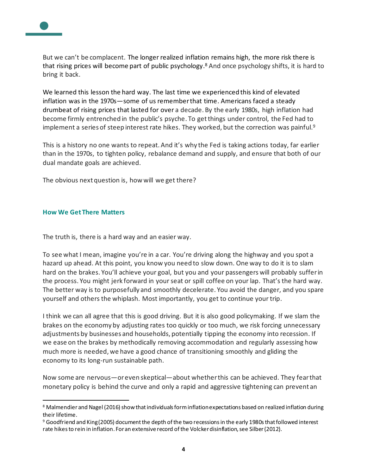

But we can't be complacent. The longer realized inflation remains high, the more risk there is that rising prices will become part of public psychology. <sup>8</sup> And once psychology shifts, it is hard to bring it back.

We learned this lesson the hard way. The last time we experienced this kind of elevated inflation was in the 1970s—some of us remember that time. Americans faced a steady drumbeat of rising prices that lasted for over a decade. By the early 1980s, high inflation had become firmly entrenched in the public's psyche. To get things under control, the Fed had to implement a series of steep interest rate hikes. They worked, but the correction was painful. 9

This is a history no one wants to repeat. And it's why the Fed is taking actions today, far earlier than in the 1970s, to tighten policy, rebalance demand and supply, and ensure that both of our dual mandate goals are achieved.

The obvious next question is, how will we get there?

#### **How We Get There Matters**

The truth is, there is a hard way and an easier way.

To see what I mean, imagine you're in a car. You're driving along the highway and you spot a hazard up ahead. At this point, you know you need to slow down. One way to do it is to slam hard on the brakes. You'll achieve your goal, but you and your passengers will probably suffer in the process. You might jerk forward in your seat or spill coffee on your lap. That's the hard way. The better way is to purposefully and smoothly decelerate. You avoid the danger, and you spare yourself and others the whiplash. Most importantly, you get to continue your trip.

I think we can all agree that this is good driving. But it is also good policymaking. If we slam the brakes on the economy by adjusting rates too quickly or too much, we risk forcing unnecessary adjustments by businesses and households, potentially tipping the economy into recession. If we ease on the brakes by methodically removing accommodation and regularly assessing how much more is needed, we have a good chance of transitioning smoothly and gliding the economy to its long-run sustainable path.

Now some are nervous—or even skeptical—about whether this can be achieved. They fear that monetary policy is behind the curve and only a rapid and aggressive tightening can prevent an

<sup>&</sup>lt;sup>8</sup> Malmendier and Nagel (2016) show that individuals form inflation expectations based on realized inflation during their lifetime.

<sup>&</sup>lt;sup>9</sup> Goodfriend and King (2005) document the depth of the two recessions in the early 1980s that followed interest rate hikes to rein in inflation. For an extensive record of the Volcker disinflation, see Silber (2012).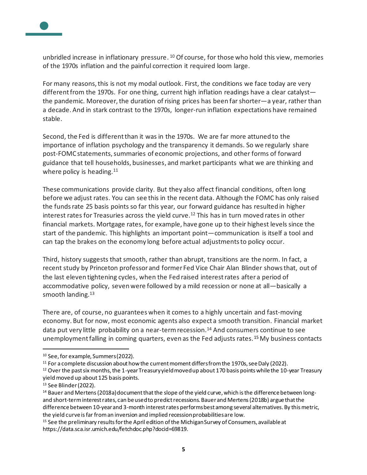

unbridled increase in inflationary pressure. <sup>10</sup> Of course, for those who hold this view, memories of the 1970s inflation and the painful correction it required loom large.

For many reasons, this is not my modal outlook. First, the conditions we face today are very different from the 1970s. For one thing, current high inflation readings have a clear catalyst the pandemic. Moreover, the duration of rising prices has been farshorter—a year, rather than a decade. And in stark contrast to the 1970s, longer-run inflation expectations have remained stable.

Second, the Fed is different than it was in the 1970s. We are far more attuned to the importance of inflation psychology and the transparency it demands. So we regularly share post-FOMC statements, summaries of economic projections, and other forms of forward guidance that tell households, businesses, and market participants what we are thinking and where policy is heading.<sup>11</sup>

These communications provide clarity. But they also affect financial conditions, often long before we adjust rates. You can see this in the recent data. Although the FOMC has only raised the funds rate 25 basis points so far this year, our forward guidance has resulted in higher interest rates for Treasuries across the yield curve. <sup>12</sup> This has in turn moved rates in other financial markets. Mortgage rates, for example, have gone up to their highest levels since the start of the pandemic. This highlights an important point—communication is itself a tool and can tap the brakes on the economy long before actual adjustments to policy occur.

Third, history suggests that smooth, rather than abrupt, transitions are the norm. In fact, a recent study by Princeton professor and former Fed Vice Chair Alan Blinder shows that, out of the last eleven tightening cycles, when the Fed raised interest rates after a period of accommodative policy, seven were followed by a mild recession or none at all—basically a smooth landing.<sup>13</sup>

There are, of course, no guarantees when it comes to a highly uncertain and fast-moving economy. But for now, most economic agents also expect a smooth transition. Financial market data put very little probability on a near-term recession.<sup>14</sup> And consumers continue to see unemployment falling in coming quarters, even as the Fed adjusts rates.<sup>15</sup> My business contacts

<sup>10</sup> See, for example, Summers (2022).

<sup>&</sup>lt;sup>11</sup> For a complete discussion about how the current moment differs from the 1970s, see Daly (2022).

 $12$  Over the past six months, the 1-year Treasury yield moved up about 170 basis points while the 10-year Treasury yield moved up about 125 basis points.

<sup>13</sup> See Blinder (2022).

<sup>&</sup>lt;sup>14</sup> Bauer and Mertens (2018a) document that the slope of the yield curve, which is the difference between longand short-term interest rates, can be used to predict recessions. Bauer and Mertens (2018b) argue that the difference between 10-year and 3-month interest rates performsbest among several alternatives. By this metric, the yield curve is far from an inversion and implied recession probabilities are low.

<sup>&</sup>lt;sup>15</sup> See the preliminary results for the April edition of the Michigan Survey of Consumers, available at https://data.sca.isr.umich.edu/fetchdoc.php?docid=69819.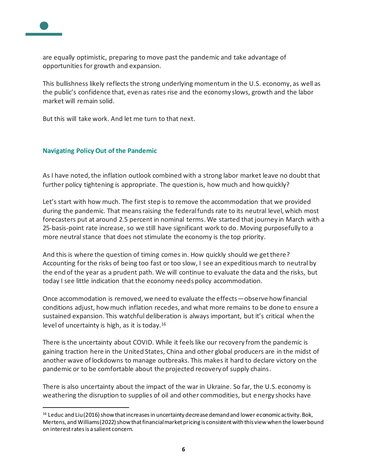

are equally optimistic, preparing to move past the pandemic and take advantage of opportunities for growth and expansion.

This bullishness likely reflects the strong underlying momentum in the U.S. economy, as well as the public's confidence that, even as rates rise and the economy slows, growth and the labor market will remain solid.

But this will take work. And let me turn to that next.

#### **Navigating Policy Out of the Pandemic**

As I have noted, the inflation outlook combined with a strong labor market leave no doubt that further policy tightening is appropriate. The question is, how much and how quickly?

Let's start with how much. The first step is to remove the accommodation that we provided during the pandemic. That means raising the federal funds rate to its neutral level, which most forecasters put at around 2.5 percent in nominal terms. We started that journey in March with a 25-basis-point rate increase, so we still have significant work to do. Moving purposefully to a more neutral stance that does not stimulate the economy is the top priority.

And this is where the question of timing comes in. How quickly should we get there? Accounting for the risks of being too fast or too slow, I see an expeditious march to neutral by the end of the year as a prudent path. We will continue to evaluate the data and the risks, but today I see little indication that the economy needs policy accommodation.

Once accommodation is removed, we need to evaluate the effects—observe how financial conditions adjust, how much inflation recedes, and what more remains to be done to ensure a sustained expansion. This watchful deliberation is always important, but it's critical when the level of uncertainty is high, as it is today.<sup>16</sup>

There is the uncertainty about COVID. While it feels like our recovery from the pandemic is gaining traction here in the United States, China and other global producers are in the midst of another wave of lockdowns to manage outbreaks. This makes it hard to declare victory on the pandemic or to be comfortable about the projected recovery of supply chains.

There is also uncertainty about the impact of the war in Ukraine. So far, the U.S. economy is weathering the disruption to supplies of oil and other commodities, but energy shocks have

 $16$  Leduc and Liu (2016) show that increases in uncertainty decrease demand and lower economic activity. Bok, Mertens, and Williams (2022) show that financial market pricing is consistent with this view when the lower bound on interest rates is a salient concern.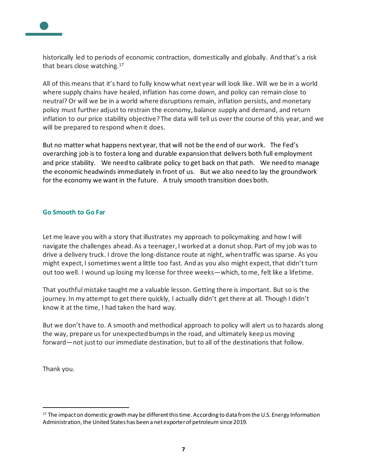

historically led to periods of economic contraction, domestically and globally. And that's a risk that bears close watching.<sup>17</sup>

All of this means that it's hard to fully know what next year will look like. Will we be in a world where supply chains have healed, inflation has come down, and policy can remain close to neutral? Or will we be in a world where disruptions remain, inflation persists, and monetary policy must further adjust to restrain the economy, balance supply and demand, and return inflation to our price stability objective? The data will tell us over the course of this year, and we will be prepared to respond when it does.

But no matter what happens next year, that will not be the end of our work. The Fed's overarching job is to foster a long and durable expansion that delivers both full employment and price stability. We need to calibrate policy to get back on that path. We need to manage the economic headwinds immediately in front of us. But we also need to lay the groundwork for the economy we want in the future. A truly smooth transition does both.

### **Go Smooth to Go Far**

Let me leave you with a story that illustrates my approach to policymaking and how I will navigate the challenges ahead. As a teenager, I worked at a donut shop. Part of my job was to drive a delivery truck. I drove the long-distance route at night, when traffic was sparse. As you might expect, I sometimes went a little too fast. And as you also might expect, that didn't turn out too well. I wound up losing my license for three weeks—which, tome, felt like a lifetime.

That youthful mistake taught me a valuable lesson. Getting there is important. But so is the journey. In my attempt to get there quickly, I actually didn't get there at all. Though I didn't know it at the time, I had taken the hard way.

But we don't have to. A smooth and methodical approach to policy will alert us to hazards along the way, prepare us for unexpected bumps in the road, and ultimately keep us moving forward—not just to our immediate destination, but to all of the destinations that follow.

Thank you.

 $17$  The impact on domestic growth may be different this time. According to data from the U.S. Energy Information Administration, the United States has been a net exporter of petroleum since 2019.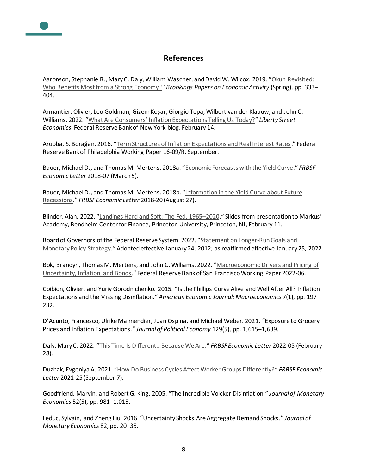## **References**

Aaronson, Stephanie R., Mary C. Daly, William Wascher, and David W. Wilcox. 2019. "[Okun Revisited:](https://www.brookings.edu/bpea-articles/okun-revisited-who-benefits-most-from-a-strong-economy/)  [Who Benefits Most from a Strong Economy](https://www.brookings.edu/bpea-articles/okun-revisited-who-benefits-most-from-a-strong-economy/)?" *Brookings Papers on Economic Activity* (Spring), pp. 333– 404.

Armantier, Olivier, Leo Goldman, Gizem Koşar, Giorgio Topa, Wilbert van der Klaauw, and John C. Williams. 2022. ["What Are Consumers' Inflation Expectati](https://libertystreeteconomics.newyorkfed.org/2022/02/what-are-consumers-inflation-expectations-telling-us-today/)ons Telling Us Today?" *Liberty Street Economics*, Federal Reserve Bank of New York blog, February 14.

Aruoba, S. Borağan. 2016. "[Term Structures of Inflation Expectations and Real Interest Rates](https://www.philadelphiafed.org/the-economy/macroeconomics/term-structures-of-inflation-expectations-and-real-interest-rates)." Federal Reserve Bank of Philadelphia Working Paper 16-09/R. September.

Bauer, Michael D., and Thomas M. Mertens. 2018a. "[Economic Forecasts with the Yield Curve](https://www.frbsf.org/economic-research/publications/economic-letter/2018/march/economic-forecasts-with-yield-curve/)." *FRBSF Economic Letter* 2018-07 (March 5).

Bauer, Michael D., and Thomas M. Mertens. 2018b. "[Information in the Yield Curve about Future](https://www.frbsf.org/economic-research/publications/economic-letter/2018/august/information-in-yield-curve-about-future-recessions/)  [Recessions](https://www.frbsf.org/economic-research/publications/economic-letter/2018/august/information-in-yield-curve-about-future-recessions/)." *FRBSF Economic Letter* 2018-20 (August 27).

Blinder, Alan. 2022. "[Landings Hard and Soft: The Fed, 1965](https://bcf.princeton.edu/wp-content/uploads/2022/01/Combined-Slides.pdf)–2020." Slides from presentation to Markus' Academy, Bendheim Center for Finance, Princeton University, Princeton, NJ, February 11.

Board of Governors of the Federal Reserve System. 2022. "Statement on Longer-Run Goals and [Monetary Policy Strategy](https://www.federalreserve.gov/monetarypolicy/files/FOMC_LongerRunGoals.pdf)." Adopted effective January 24, 2012; as reaffirmed effective January 25, 2022.

Bok, Brandyn, Thomas M. Mertens, and John C. Williams. 2022. "[Macroeconomic Drivers and Pricing of](https://doi.org/10.24148/wp2022-06)  [Uncertainty, Inflation, and Bonds](https://doi.org/10.24148/wp2022-06)." Federal Reserve Bank of San Francisco Working Paper 2022-06.

Coibion, Olivier, and Yuriy Gorodnichenko. 2015. "Is the Phillips Curve Alive and Well After All? Inflation Expectations and the Missing Disinflation." *American Economic Journal: Macroeconomics* 7(1), pp. 197– 232.

D'Acunto, Francesco, Ulrike Malmendier, Juan Ospina, and Michael Weber. 2021. "Exposure to Grocery Prices and Inflation Expectations." *Journal of Political Economy* 129(5), pp. 1,615–1,639.

Daly, Mary C. 2022. ["This Time Is Different…Because We Are.](https://www.frbsf.org/economic-research/publications/economic-letter/2022/february/this-time-is-different-because-we-are-speech/)" *FRBSF Economic Letter* 2022-05 (February 28).

Duzhak, Evgeniya A. 2021. "[How Do Business Cycles Affect Worker Groups Differently?](https://www.frbsf.org/economic-research/publications/economic-letter/2021/september/how-do-business-cycles-affect-worker-groups-differently/)" *FRBSF Economic Letter* 2021-25 (September 7).

Goodfriend, Marvin, and Robert G. King. 2005. "The Incredible Volcker Disinflation." *Journal of Monetary Economics* 52(5), pp. 981–1,015.

Leduc, Sylvain, and Zheng Liu. 2016. "Uncertainty Shocks Are Aggregate Demand Shocks." *Journal of Monetary Economics* 82, pp. 20–35.